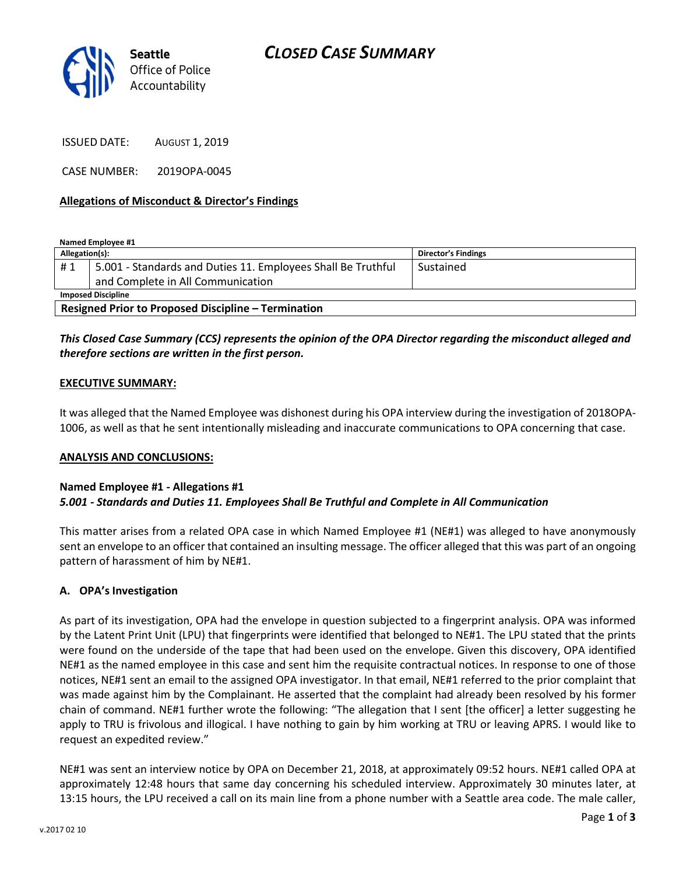

ISSUED DATE: AUGUST 1, 2019

CASE NUMBER: 2019OPA-0045

## Allegations of Misconduct & Director's Findings

Named Employee #1

| Allegation(s):                                             |                                                              | <b>Director's Findings</b> |
|------------------------------------------------------------|--------------------------------------------------------------|----------------------------|
| #1                                                         | 5.001 - Standards and Duties 11. Employees Shall Be Truthful | Sustained                  |
|                                                            | and Complete in All Communication                            |                            |
| <b>Imposed Discipline</b>                                  |                                                              |                            |
| <b>Resigned Prior to Proposed Discipline - Termination</b> |                                                              |                            |

## This Closed Case Summary (CCS) represents the opinion of the OPA Director regarding the misconduct alleged and therefore sections are written in the first person.

### EXECUTIVE SUMMARY:

It was alleged that the Named Employee was dishonest during his OPA interview during the investigation of 2018OPA-1006, as well as that he sent intentionally misleading and inaccurate communications to OPA concerning that case.

#### ANALYSIS AND CONCLUSIONS:

#### Named Employee #1 - Allegations #1 5.001 - Standards and Duties 11. Employees Shall Be Truthful and Complete in All Communication

This matter arises from a related OPA case in which Named Employee #1 (NE#1) was alleged to have anonymously sent an envelope to an officer that contained an insulting message. The officer alleged that this was part of an ongoing pattern of harassment of him by NE#1.

## A. OPA's Investigation

As part of its investigation, OPA had the envelope in question subjected to a fingerprint analysis. OPA was informed by the Latent Print Unit (LPU) that fingerprints were identified that belonged to NE#1. The LPU stated that the prints were found on the underside of the tape that had been used on the envelope. Given this discovery, OPA identified NE#1 as the named employee in this case and sent him the requisite contractual notices. In response to one of those notices, NE#1 sent an email to the assigned OPA investigator. In that email, NE#1 referred to the prior complaint that was made against him by the Complainant. He asserted that the complaint had already been resolved by his former chain of command. NE#1 further wrote the following: "The allegation that I sent [the officer] a letter suggesting he apply to TRU is frivolous and illogical. I have nothing to gain by him working at TRU or leaving APRS. I would like to request an expedited review."

NE#1 was sent an interview notice by OPA on December 21, 2018, at approximately 09:52 hours. NE#1 called OPA at approximately 12:48 hours that same day concerning his scheduled interview. Approximately 30 minutes later, at 13:15 hours, the LPU received a call on its main line from a phone number with a Seattle area code. The male caller,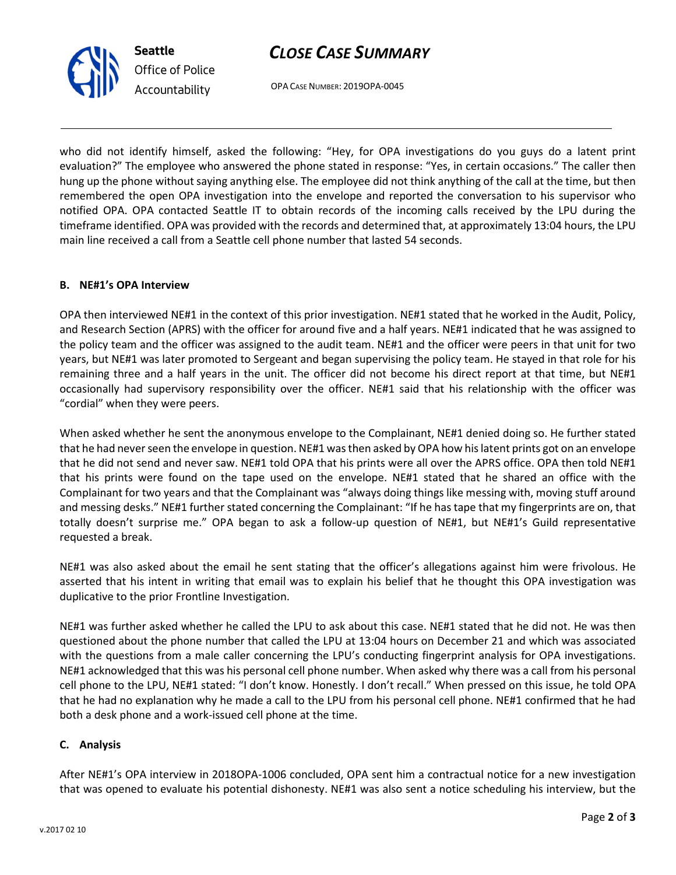# CLOSE CASE SUMMARY

OPA CASE NUMBER: 2019OPA-0045

who did not identify himself, asked the following: "Hey, for OPA investigations do you guys do a latent print evaluation?" The employee who answered the phone stated in response: "Yes, in certain occasions." The caller then hung up the phone without saying anything else. The employee did not think anything of the call at the time, but then remembered the open OPA investigation into the envelope and reported the conversation to his supervisor who notified OPA. OPA contacted Seattle IT to obtain records of the incoming calls received by the LPU during the timeframe identified. OPA was provided with the records and determined that, at approximately 13:04 hours, the LPU main line received a call from a Seattle cell phone number that lasted 54 seconds.

## B. NE#1's OPA Interview

OPA then interviewed NE#1 in the context of this prior investigation. NE#1 stated that he worked in the Audit, Policy, and Research Section (APRS) with the officer for around five and a half years. NE#1 indicated that he was assigned to the policy team and the officer was assigned to the audit team. NE#1 and the officer were peers in that unit for two years, but NE#1 was later promoted to Sergeant and began supervising the policy team. He stayed in that role for his remaining three and a half years in the unit. The officer did not become his direct report at that time, but NE#1 occasionally had supervisory responsibility over the officer. NE#1 said that his relationship with the officer was "cordial" when they were peers.

When asked whether he sent the anonymous envelope to the Complainant, NE#1 denied doing so. He further stated that he had never seen the envelope in question. NE#1 was then asked by OPA how his latent prints got on an envelope that he did not send and never saw. NE#1 told OPA that his prints were all over the APRS office. OPA then told NE#1 that his prints were found on the tape used on the envelope. NE#1 stated that he shared an office with the Complainant for two years and that the Complainant was "always doing things like messing with, moving stuff around and messing desks." NE#1 further stated concerning the Complainant: "If he has tape that my fingerprints are on, that totally doesn't surprise me." OPA began to ask a follow-up question of NE#1, but NE#1's Guild representative requested a break.

NE#1 was also asked about the email he sent stating that the officer's allegations against him were frivolous. He asserted that his intent in writing that email was to explain his belief that he thought this OPA investigation was duplicative to the prior Frontline Investigation.

NE#1 was further asked whether he called the LPU to ask about this case. NE#1 stated that he did not. He was then questioned about the phone number that called the LPU at 13:04 hours on December 21 and which was associated with the questions from a male caller concerning the LPU's conducting fingerprint analysis for OPA investigations. NE#1 acknowledged that this was his personal cell phone number. When asked why there was a call from his personal cell phone to the LPU, NE#1 stated: "I don't know. Honestly. I don't recall." When pressed on this issue, he told OPA that he had no explanation why he made a call to the LPU from his personal cell phone. NE#1 confirmed that he had both a desk phone and a work-issued cell phone at the time.

# C. Analysis

After NE#1's OPA interview in 2018OPA-1006 concluded, OPA sent him a contractual notice for a new investigation that was opened to evaluate his potential dishonesty. NE#1 was also sent a notice scheduling his interview, but the



Seattle

Office of Police Accountability